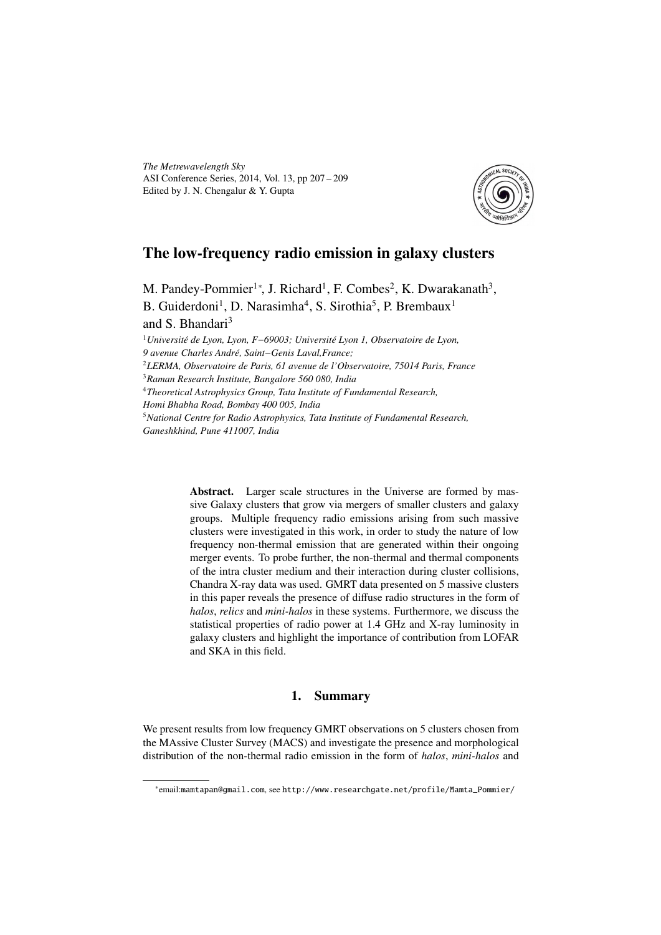*The Metrewavelength Sky* ASI Conference Series, 2014, Vol. 13, pp 207 – 209 Edited by J. N. Chengalur & Y. Gupta



## The low-frequency radio emission in galaxy clusters

M. Pandey-Pommier<sup>1\*</sup>, J. Richard<sup>1</sup>, F. Combes<sup>2</sup>, K. Dwarakanath<sup>3</sup>, B. Guiderdoni<sup>1</sup>, D. Narasimha<sup>4</sup>, S. Sirothia<sup>5</sup>, P. Brembaux<sup>1</sup> and S. Bhandari<sup>3</sup>

*Université de Lyon, Lyon, F*−*69003; Université Lyon 1, Observatoire de Lyon, 9 avenue Charles André, Saint*−*Genis Laval,France; LERMA, Observatoire de Paris, 61 avenue de l'Observatoire, 75014 Paris, France Raman Research Institute, Bangalore 560 080, India Theoretical Astrophysics Group, Tata Institute of Fundamental Research, Homi Bhabha Road, Bombay 400 005, India National Centre for Radio Astrophysics, Tata Institute of Fundamental Research, Ganeshkhind, Pune 411007, India*

> Abstract. Larger scale structures in the Universe are formed by massive Galaxy clusters that grow via mergers of smaller clusters and galaxy groups. Multiple frequency radio emissions arising from such massive clusters were investigated in this work, in order to study the nature of low frequency non-thermal emission that are generated within their ongoing merger events. To probe further, the non-thermal and thermal components of the intra cluster medium and their interaction during cluster collisions, Chandra X-ray data was used. GMRT data presented on 5 massive clusters in this paper reveals the presence of diffuse radio structures in the form of *halos*, *relics* and *mini-halos* in these systems. Furthermore, we discuss the statistical properties of radio power at 1.4 GHz and X-ray luminosity in galaxy clusters and highlight the importance of contribution from LOFAR and SKA in this field.

## 1. Summary

We present results from low frequency GMRT observations on 5 clusters chosen from the MAssive Cluster Survey (MACS) and investigate the presence and morphological distribution of the non-thermal radio emission in the form of *halos*, *mini-halos* and

<sup>∗</sup> email:mamtapan@gmail.com, see http://www.researchgate.net/profile/Mamta\_Pommier/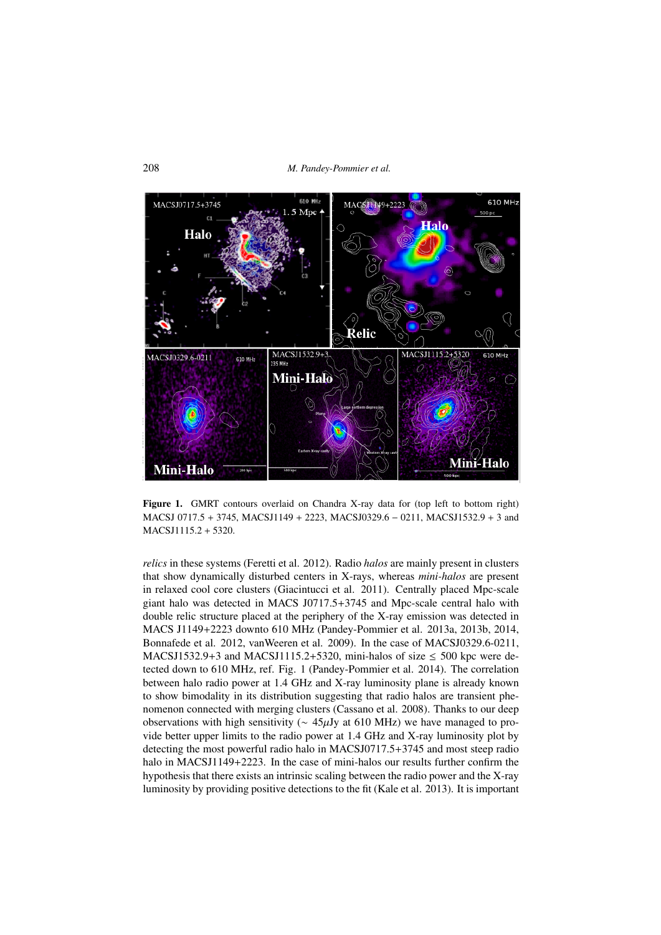208 *M. Pandey-Pommier et al.*



Figure 1. GMRT contours overlaid on Chandra X-ray data for (top left to bottom right) MACSJ 0717.<sup>5</sup> <sup>+</sup> 3745, MACSJ1149 <sup>+</sup> 2223, MACSJ0329.<sup>6</sup> <sup>−</sup> 0211, MACSJ1532.<sup>9</sup> <sup>+</sup> 3 and MACSJ1115.<sup>2</sup> <sup>+</sup> 5320.

*relics* in these systems (Feretti et al. 2012). Radio *halos* are mainly present in clusters that show dynamically disturbed centers in X-rays, whereas *mini-halos* are present in relaxed cool core clusters (Giacintucci et al. 2011). Centrally placed Mpc-scale giant halo was detected in MACS J0717.5+3745 and Mpc-scale central halo with double relic structure placed at the periphery of the X-ray emission was detected in MACS J1149+2223 downto 610 MHz (Pandey-Pommier et al. 2013a, 2013b, 2014, Bonnafede et al. 2012, vanWeeren et al. 2009). In the case of MACSJ0329.6-0211, MACSJ1532.9+3 and MACSJ1115.2+5320, mini-halos of size  $\leq$  500 kpc were detected down to 610 MHz, ref. Fig. 1 (Pandey-Pommier et al. 2014). The correlation between halo radio power at 1.4 GHz and X-ray luminosity plane is already known to show bimodality in its distribution suggesting that radio halos are transient phenomenon connected with merging clusters (Cassano et al. 2008). Thanks to our deep observations with high sensitivity ( $\sim$  45µJy at 610 MHz) we have managed to provide better upper limits to the radio power at 1.4 GHz and X-ray luminosity plot by detecting the most powerful radio halo in MACSJ0717.5+3745 and most steep radio halo in MACSJ1149+2223. In the case of mini-halos our results further confirm the hypothesis that there exists an intrinsic scaling between the radio power and the X-ray luminosity by providing positive detections to the fit (Kale et al. 2013). It is important